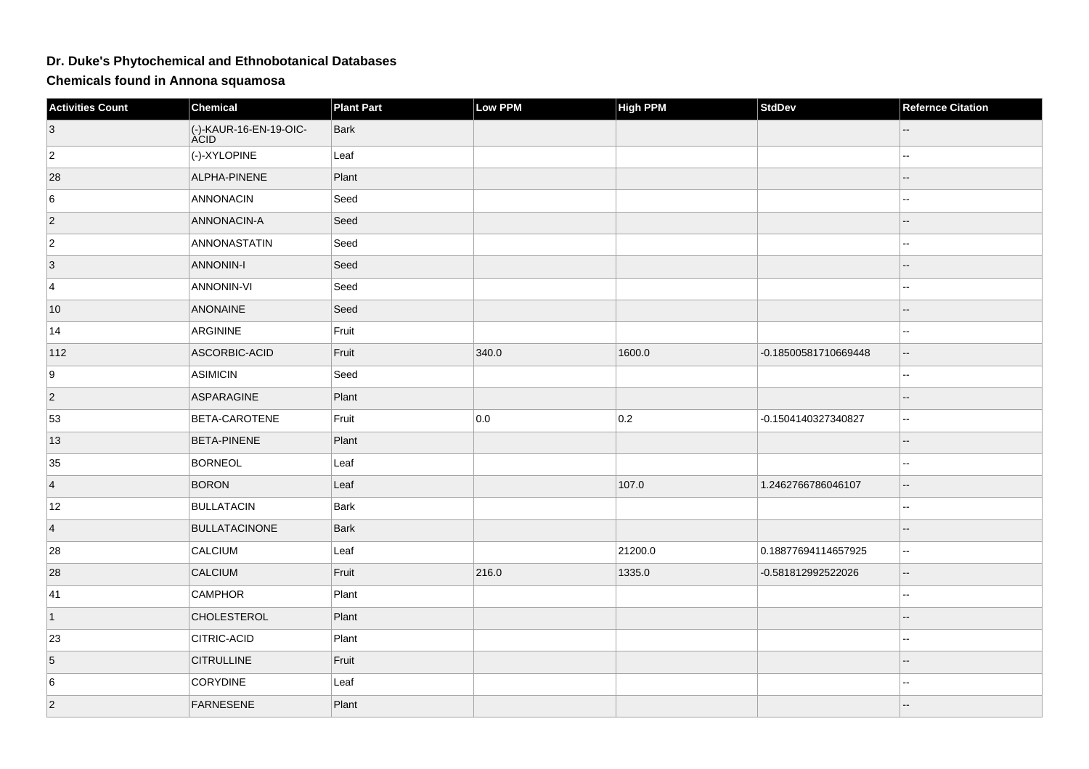## **Dr. Duke's Phytochemical and Ethnobotanical Databases**

**Chemicals found in Annona squamosa**

| <b>Activities Count</b> | Chemical                              | <b>Plant Part</b> | Low PPM | <b>High PPM</b> | <b>StdDev</b>        | <b>Refernce Citation</b> |
|-------------------------|---------------------------------------|-------------------|---------|-----------------|----------------------|--------------------------|
| $\vert 3 \vert$         | (-)-KAUR-16-EN-19-OIC-<br><b>ACID</b> | <b>Bark</b>       |         |                 |                      |                          |
| $ 2\rangle$             | (-)-XYLOPINE                          | Leaf              |         |                 |                      |                          |
| 28                      | ALPHA-PINENE                          | Plant             |         |                 |                      |                          |
| 6                       | ANNONACIN                             | Seed              |         |                 |                      |                          |
| $ 2\rangle$             | ANNONACIN-A                           | Seed              |         |                 |                      |                          |
| $ 2\rangle$             | ANNONASTATIN                          | Seed              |         |                 |                      |                          |
| $\vert 3 \vert$         | <b>ANNONIN-I</b>                      | Seed              |         |                 |                      | --                       |
| 4                       | <b>ANNONIN-VI</b>                     | Seed              |         |                 |                      |                          |
| 10                      | <b>ANONAINE</b>                       | Seed              |         |                 |                      |                          |
| 14                      | ARGININE                              | Fruit             |         |                 |                      |                          |
| 112                     | ASCORBIC-ACID                         | Fruit             | 340.0   | 1600.0          | -0.18500581710669448 |                          |
| 9                       | <b>ASIMICIN</b>                       | Seed              |         |                 |                      |                          |
| $ 2\rangle$             | ASPARAGINE                            | Plant             |         |                 |                      |                          |
| 53                      | BETA-CAROTENE                         | Fruit             | 0.0     | 0.2             | -0.1504140327340827  | 44                       |
| 13                      | <b>BETA-PINENE</b>                    | Plant             |         |                 |                      |                          |
| 35                      | <b>BORNEOL</b>                        | Leaf              |         |                 |                      |                          |
| $\overline{4}$          | <b>BORON</b>                          | Leaf              |         | 107.0           | 1.2462766786046107   | Ξ.                       |
| 12                      | <b>BULLATACIN</b>                     | Bark              |         |                 |                      |                          |
| $\vert$ 4               | <b>BULLATACINONE</b>                  | <b>Bark</b>       |         |                 |                      |                          |
| 28                      | <b>CALCIUM</b>                        | Leaf              |         | 21200.0         | 0.18877694114657925  | $\overline{a}$           |
| 28                      | CALCIUM                               | Fruit             | 216.0   | 1335.0          | -0.581812992522026   | $-$                      |
| 41                      | <b>CAMPHOR</b>                        | Plant             |         |                 |                      | --                       |
| $\vert$ 1               | <b>CHOLESTEROL</b>                    | Plant             |         |                 |                      |                          |
| 23                      | <b>CITRIC-ACID</b>                    | Plant             |         |                 |                      |                          |
| 5                       | <b>CITRULLINE</b>                     | Fruit             |         |                 |                      |                          |
| 6                       | <b>CORYDINE</b>                       | Leaf              |         |                 |                      | --                       |
| $ 2\rangle$             | FARNESENE                             | Plant             |         |                 |                      |                          |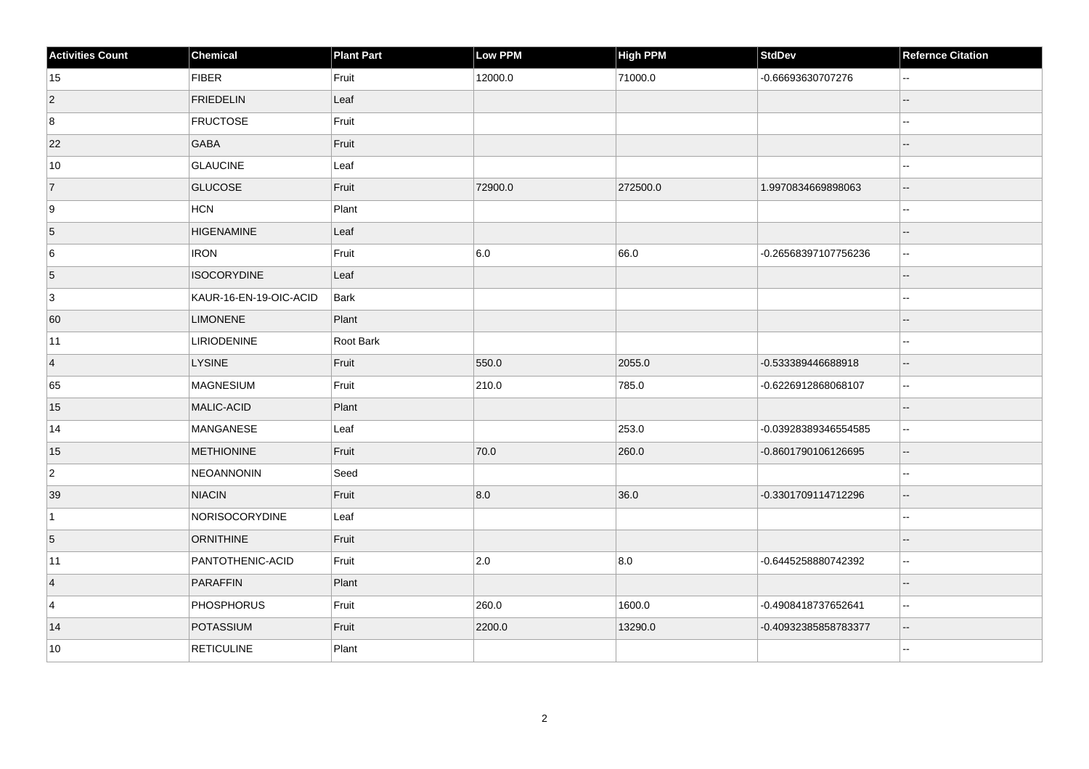| <b>Activities Count</b> | <b>Chemical</b>        | <b>Plant Part</b> | <b>Low PPM</b> | High PPM | <b>StdDev</b>        | <b>Refernce Citation</b>                      |
|-------------------------|------------------------|-------------------|----------------|----------|----------------------|-----------------------------------------------|
| 15                      | <b>FIBER</b>           | Fruit             | 12000.0        | 71000.0  | -0.66693630707276    | $\sim$ $\sim$                                 |
| $\vert$ 2               | <b>FRIEDELIN</b>       | Leaf              |                |          |                      |                                               |
| 8                       | <b>FRUCTOSE</b>        | Fruit             |                |          |                      | $\sim$                                        |
| 22                      | GABA                   | Fruit             |                |          |                      | $\sim$                                        |
| 10                      | <b>GLAUCINE</b>        | Leaf              |                |          |                      | $-$                                           |
| 7                       | <b>GLUCOSE</b>         | Fruit             | 72900.0        | 272500.0 | 1.9970834669898063   | $\overline{\phantom{a}}$                      |
| 9                       | HCN                    | Plant             |                |          |                      |                                               |
| 5                       | <b>HIGENAMINE</b>      | Leaf              |                |          |                      | $\overline{\phantom{a}}$                      |
| 6                       | <b>IRON</b>            | Fruit             | 6.0            | 66.0     | -0.26568397107756236 | $\ddotsc$                                     |
| $\overline{5}$          | <b>ISOCORYDINE</b>     | Leaf              |                |          |                      | $\overline{\phantom{a}}$                      |
| 3                       | KAUR-16-EN-19-OIC-ACID | Bark              |                |          |                      | $\sim$                                        |
| 60                      | <b>LIMONENE</b>        | Plant             |                |          |                      |                                               |
| 11                      | LIRIODENINE            | Root Bark         |                |          |                      | $\sim$                                        |
| $\vert$ 4               | <b>LYSINE</b>          | Fruit             | 550.0          | 2055.0   | -0.533389446688918   | $\overline{\phantom{a}}$                      |
| 65                      | MAGNESIUM              | Fruit             | 210.0          | 785.0    | -0.6226912868068107  | $\ddotsc$                                     |
| 15                      | MALIC-ACID             | Plant             |                |          |                      | $-$                                           |
| 14                      | MANGANESE              | Leaf              |                | 253.0    | -0.03928389346554585 | $\ddotsc$                                     |
| 15                      | <b>METHIONINE</b>      | Fruit             | 70.0           | 260.0    | -0.8601790106126695  | $\overline{\phantom{a}}$                      |
| $\overline{2}$          | NEOANNONIN             | Seed              |                |          |                      | $-$                                           |
| 39                      | <b>NIACIN</b>          | Fruit             | 8.0            | 36.0     | -0.3301709114712296  | $\mathbb{Z}^2$                                |
| $\vert$ 1               | NORISOCORYDINE         | Leaf              |                |          |                      | $\overline{\phantom{a}}$                      |
| 5                       | <b>ORNITHINE</b>       | Fruit             |                |          |                      | $\overline{\phantom{a}}$                      |
| 11                      | PANTOTHENIC-ACID       | Fruit             | 2.0            | 8.0      | -0.6445258880742392  | $\sim$                                        |
| $\vert$ 4               | PARAFFIN               | Plant             |                |          |                      | $\sim$                                        |
| $\overline{4}$          | <b>PHOSPHORUS</b>      | Fruit             | 260.0          | 1600.0   | -0.4908418737652641  | $\sim$ $\sim$                                 |
| 14                      | POTASSIUM              | Fruit             | 2200.0         | 13290.0  | -0.40932385858783377 | $\mathord{\hspace{1pt}\text{--}\hspace{1pt}}$ |
| 10                      | <b>RETICULINE</b>      | Plant             |                |          |                      | $\sim$ $\sim$                                 |